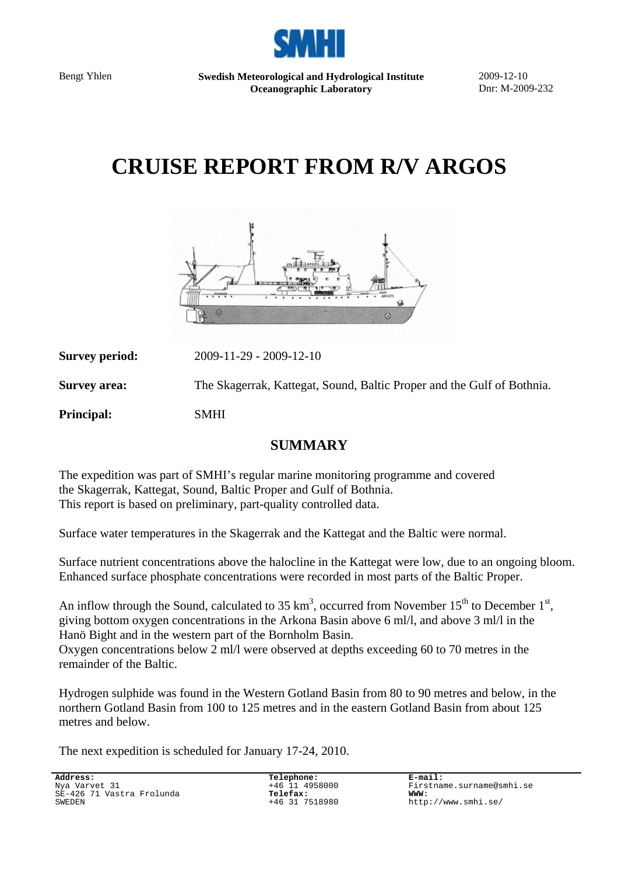

Bengt Yhlen **Swedish Meteorological and Hydrological Institute Oceanographic Laboratory** 

2009-12-10 Dnr: M-2009-232

# **CRUISE REPORT FROM R/V ARGOS**



**Survey period:** 2009-11-29 - 2009-12-10 **Survey area:** The Skagerrak, Kattegat, Sound, Baltic Proper and the Gulf of Bothnia. **Principal:** SMHI

### **SUMMARY**

The expedition was part of SMHI's regular marine monitoring programme and covered the Skagerrak, Kattegat, Sound, Baltic Proper and Gulf of Bothnia. This report is based on preliminary, part-quality controlled data.

Surface water temperatures in the Skagerrak and the Kattegat and the Baltic were normal.

Surface nutrient concentrations above the halocline in the Kattegat were low, due to an ongoing bloom. Enhanced surface phosphate concentrations were recorded in most parts of the Baltic Proper.

An inflow through the Sound, calculated to 35  $km^3$ , occurred from November 15<sup>th</sup> to December 1<sup>st</sup>, giving bottom oxygen concentrations in the Arkona Basin above 6 ml/l, and above 3 ml/l in the Hanö Bight and in the western part of the Bornholm Basin.

Oxygen concentrations below 2 ml/l were observed at depths exceeding 60 to 70 metres in the remainder of the Baltic.

Hydrogen sulphide was found in the Western Gotland Basin from 80 to 90 metres and below, in the northern Gotland Basin from 100 to 125 metres and in the eastern Gotland Basin from about 125 metres and below.

The next expedition is scheduled for January 17-24, 2010.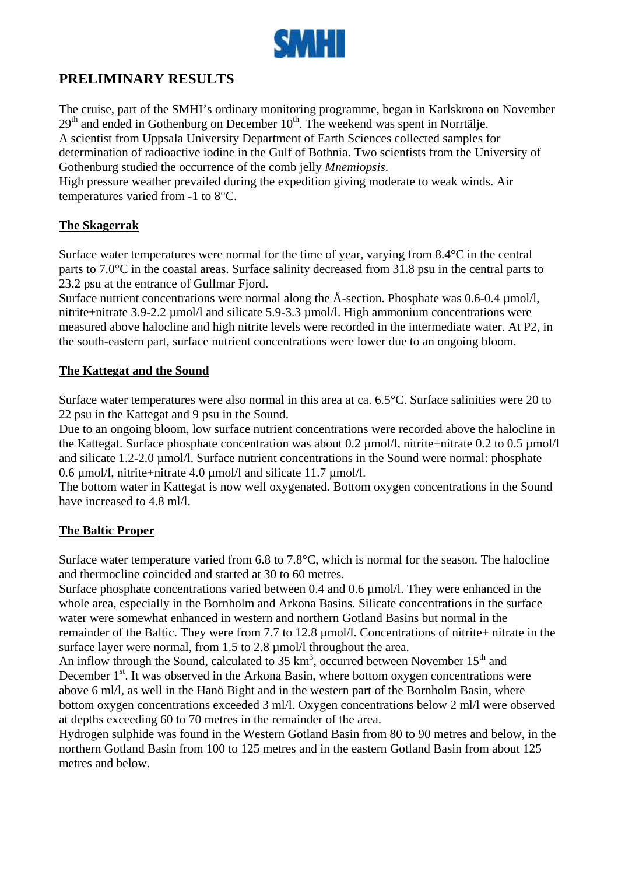

# **PRELIMINARY RESULTS**

The cruise, part of the SMHI's ordinary monitoring programme, began in Karlskrona on November  $29<sup>th</sup>$  and ended in Gothenburg on December  $10<sup>th</sup>$ . The weekend was spent in Norrtälje. A scientist from Uppsala University Department of Earth Sciences collected samples for determination of radioactive iodine in the Gulf of Bothnia. Two scientists from the University of Gothenburg studied the occurrence of the comb jelly *Mnemiopsis*.

High pressure weather prevailed during the expedition giving moderate to weak winds. Air temperatures varied from -1 to 8°C.

#### **The Skagerrak**

Surface water temperatures were normal for the time of year, varying from 8.4°C in the central parts to 7.0°C in the coastal areas. Surface salinity decreased from 31.8 psu in the central parts to 23.2 psu at the entrance of Gullmar Fjord.

Surface nutrient concentrations were normal along the  $\AA$ -section. Phosphate was 0.6-0.4  $\mu$ mol/l, nitrite+nitrate 3.9-2.2 µmol/l and silicate 5.9-3.3 µmol/l. High ammonium concentrations were measured above halocline and high nitrite levels were recorded in the intermediate water. At P2, in the south-eastern part, surface nutrient concentrations were lower due to an ongoing bloom.

#### **The Kattegat and the Sound**

Surface water temperatures were also normal in this area at ca. 6.5°C. Surface salinities were 20 to 22 psu in the Kattegat and 9 psu in the Sound.

Due to an ongoing bloom, low surface nutrient concentrations were recorded above the halocline in the Kattegat. Surface phosphate concentration was about 0.2 µmol/l, nitrite+nitrate 0.2 to 0.5 µmol/l and silicate 1.2-2.0 µmol/l. Surface nutrient concentrations in the Sound were normal: phosphate 0.6 µmol/l, nitrite+nitrate 4.0 µmol/l and silicate 11.7 µmol/l.

The bottom water in Kattegat is now well oxygenated. Bottom oxygen concentrations in the Sound have increased to 4.8 ml/l.

#### **The Baltic Proper**

Surface water temperature varied from 6.8 to 7.8°C, which is normal for the season. The halocline and thermocline coincided and started at 30 to 60 metres.

Surface phosphate concentrations varied between 0.4 and 0.6 µmol/l. They were enhanced in the whole area, especially in the Bornholm and Arkona Basins. Silicate concentrations in the surface water were somewhat enhanced in western and northern Gotland Basins but normal in the remainder of the Baltic. They were from 7.7 to 12.8 µmol/l. Concentrations of nitrite+ nitrate in the surface layer were normal, from 1.5 to 2.8  $\mu$ mol/l throughout the area.

An inflow through the Sound, calculated to 35  $\text{km}^3$ , occurred between November 15<sup>th</sup> and December  $1<sup>st</sup>$ . It was observed in the Arkona Basin, where bottom oxygen concentrations were above 6 ml/l, as well in the Hanö Bight and in the western part of the Bornholm Basin, where bottom oxygen concentrations exceeded 3 ml/l. Oxygen concentrations below 2 ml/l were observed at depths exceeding 60 to 70 metres in the remainder of the area.

Hydrogen sulphide was found in the Western Gotland Basin from 80 to 90 metres and below, in the northern Gotland Basin from 100 to 125 metres and in the eastern Gotland Basin from about 125 metres and below.